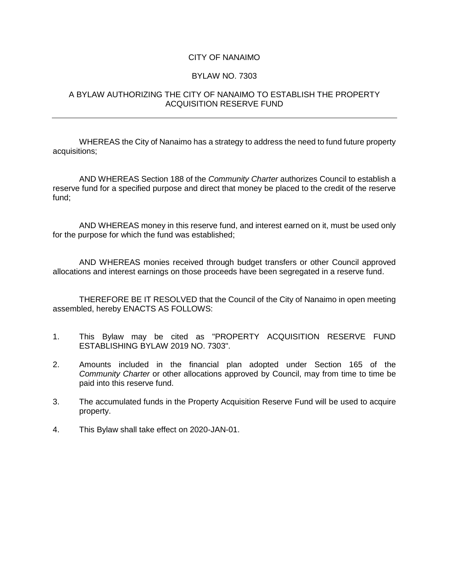## CITY OF NANAIMO

## BYLAW NO. 7303

## A BYLAW AUTHORIZING THE CITY OF NANAIMO TO ESTABLISH THE PROPERTY ACQUISITION RESERVE FUND

WHEREAS the City of Nanaimo has a strategy to address the need to fund future property acquisitions;

AND WHEREAS Section 188 of the *Community Charter* authorizes Council to establish a reserve fund for a specified purpose and direct that money be placed to the credit of the reserve fund;

AND WHEREAS money in this reserve fund, and interest earned on it, must be used only for the purpose for which the fund was established;

AND WHEREAS monies received through budget transfers or other Council approved allocations and interest earnings on those proceeds have been segregated in a reserve fund.

THEREFORE BE IT RESOLVED that the Council of the City of Nanaimo in open meeting assembled, hereby ENACTS AS FOLLOWS:

- 1. This Bylaw may be cited as "PROPERTY ACQUISITION RESERVE FUND ESTABLISHING BYLAW 2019 NO. 7303".
- 2. Amounts included in the financial plan adopted under Section 165 of the *Community Charter* or other allocations approved by Council, may from time to time be paid into this reserve fund.
- 3. The accumulated funds in the Property Acquisition Reserve Fund will be used to acquire property.
- 4. This Bylaw shall take effect on 2020-JAN-01.